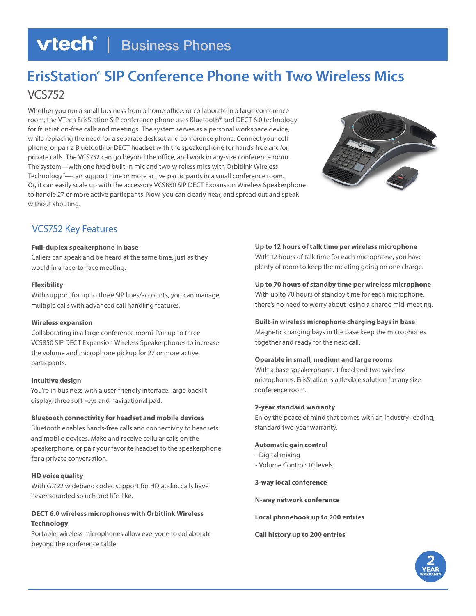# **vtech | Business Phones**

# **ErisStation® SIP Conference Phone with Two Wireless Mics** VCS752

Whether you run a small business from a home office, or collaborate in a large conference room, the VTech ErisStation SIP conference phone uses Bluetooth® and DECT 6.0 technology for frustration-free calls and meetings. The system serves as a personal workspace device, while replacing the need for a separate deskset and conference phone. Connect your cell phone, or pair a Bluetooth or DECT headset with the speakerphone for hands-free and/or private calls. The VCS752 can go beyond the office, and work in any-size conference room. The system—with one fixed built-in mic and two wireless mics with Orbitlink Wireless Technology™—can support nine or more active participants in a small conference room. Or, it can easily scale up with the accessory VCS850 SIP DECT Expansion Wireless Speakerphone to handle 27 or more active particpants. Now, you can clearly hear, and spread out and speak without shouting.



# VCS752 Key Features

# **Full-duplex speakerphone in base**

Callers can speak and be heard at the same time, just as they would in a face-to-face meeting.

# **Flexibility**

With support for up to three SIP lines/accounts, you can manage multiple calls with advanced call handling features.

# **Wireless expansion**

Collaborating in a large conference room? Pair up to three VCS850 SIP DECT Expansion Wireless Speakerphones to increase the volume and microphone pickup for 27 or more active particpants.

# **Intuitive design**

You're in business with a user-friendly interface, large backlit display, three soft keys and navigational pad.

# **Bluetooth connectivity for headset and mobile devices**

Bluetooth enables hands-free calls and connectivity to headsets and mobile devices. Make and receive cellular calls on the speakerphone, or pair your favorite headset to the speakerphone for a private conversation.

# **HD voice quality**

With G.722 wideband codec support for HD audio, calls have never sounded so rich and life-like.

# **DECT 6.0 wireless microphones with Orbitlink Wireless Technology**

Portable, wireless microphones allow everyone to collaborate beyond the conference table.

**Up to 12 hours of talk time per wireless microphone** With 12 hours of talk time for each microphone, you have plenty of room to keep the meeting going on one charge.

**Up to 70 hours of standby time per wireless microphone** With up to 70 hours of standby time for each microphone, there's no need to worry about losing a charge mid-meeting.

# **Built-in wireless microphone charging bays in base**

Magnetic charging bays in the base keep the microphones together and ready for the next call.

# **Operable in small, medium and large rooms**

With a base speakerphone, 1 fixed and two wireless microphones, ErisStation is a flexible solution for any size conference room.

# **2-year standard warranty**

Enjoy the peace of mind that comes with an industry-leading, standard two-year warranty.

# **Automatic gain control**

- Digital mixing
- Volume Control: 10 levels

**3-way local conference**

**N-way network conference**

**Local phonebook up to 200 entries**

**Call history up to 200 entries**